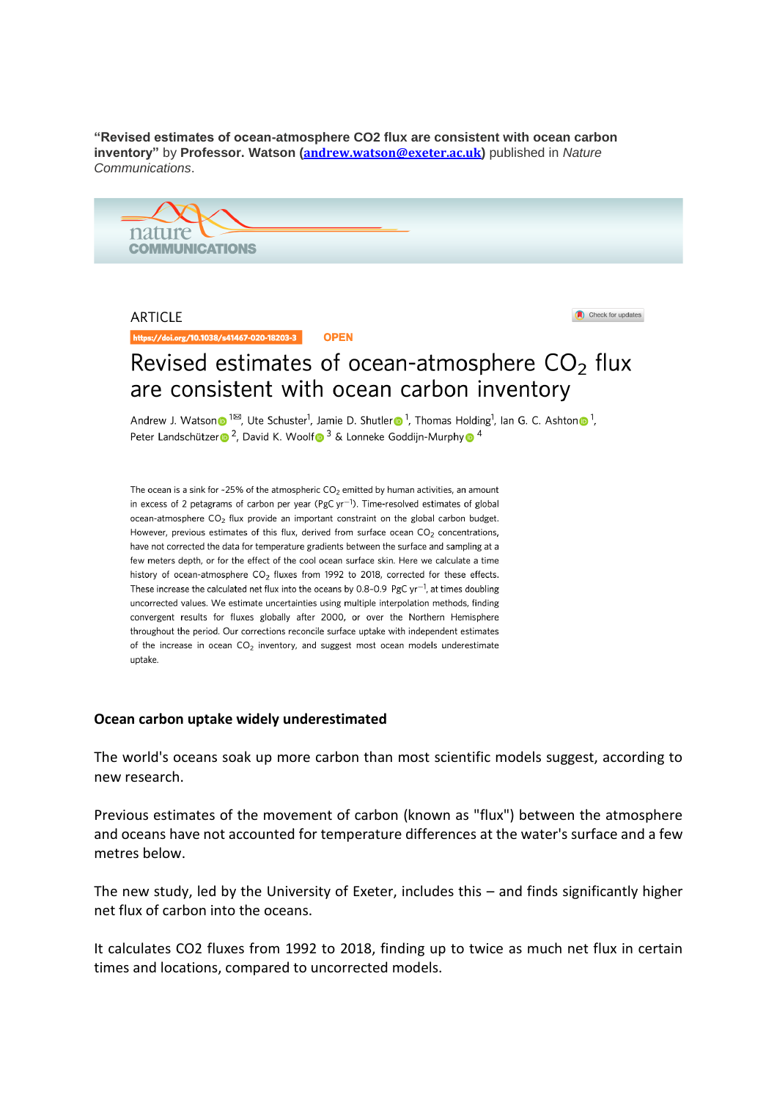**"Revised estimates of ocean-atmosphere CO2 flux are consistent with ocean carbon inventory"** by **Professor. Watson ([andrew.watson@exeter.ac.uk](mailto:andrew.watson@exeter.ac.uk))** published in *Nature Communications*.



**ARTICLE** 

https://doi.org/10.1038/s41467-020-18203-3 **OPEN**  Check for updates

## Revised estimates of ocean-atmosphere  $CO<sub>2</sub>$  flux are consistent with ocean carbon inventory

Andrew J. Watson  $\bullet$  1<sup>23</sup>, Ute Schuster<sup>1</sup>, Jamie D. Shutler  $\bullet$  <sup>1</sup>, Thomas Holding<sup>1</sup>, Ian G. C. Ashton  $\bullet$  <sup>1</sup>, Peter Landschützer <sup>2</sup>, David K. Woolf<sup>3</sup> & Lonneke Goddijn-Murphy<sup>64</sup>

The ocean is a sink for ~25% of the atmospheric  $CO<sub>2</sub>$  emitted by human activities, an amount in excess of 2 petagrams of carbon per year (PgC  $yr^{-1}$ ). Time-resolved estimates of global ocean-atmosphere CO<sub>2</sub> flux provide an important constraint on the global carbon budget. However, previous estimates of this flux, derived from surface ocean  $CO<sub>2</sub>$  concentrations, have not corrected the data for temperature gradients between the surface and sampling at a few meters depth, or for the effect of the cool ocean surface skin. Here we calculate a time history of ocean-atmosphere CO<sub>2</sub> fluxes from 1992 to 2018, corrected for these effects. These increase the calculated net flux into the oceans by 0.8-0.9 PgC  $yr^{-1}$ , at times doubling uncorrected values. We estimate uncertainties using multiple interpolation methods, finding convergent results for fluxes globally after 2000, or over the Northern Hemisphere throughout the period. Our corrections reconcile surface uptake with independent estimates of the increase in ocean  $CO<sub>2</sub>$  inventory, and suggest most ocean models underestimate uptake.

## **Ocean carbon uptake widely underestimated**

The world's oceans soak up more carbon than most scientific models suggest, according to new research.

Previous estimates of the movement of carbon (known as "flux") between the atmosphere and oceans have not accounted for temperature differences at the water's surface and a few metres below.

The new study, led by the University of Exeter, includes this – and finds significantly higher net flux of carbon into the oceans.

It calculates CO2 fluxes from 1992 to 2018, finding up to twice as much net flux in certain times and locations, compared to uncorrected models.